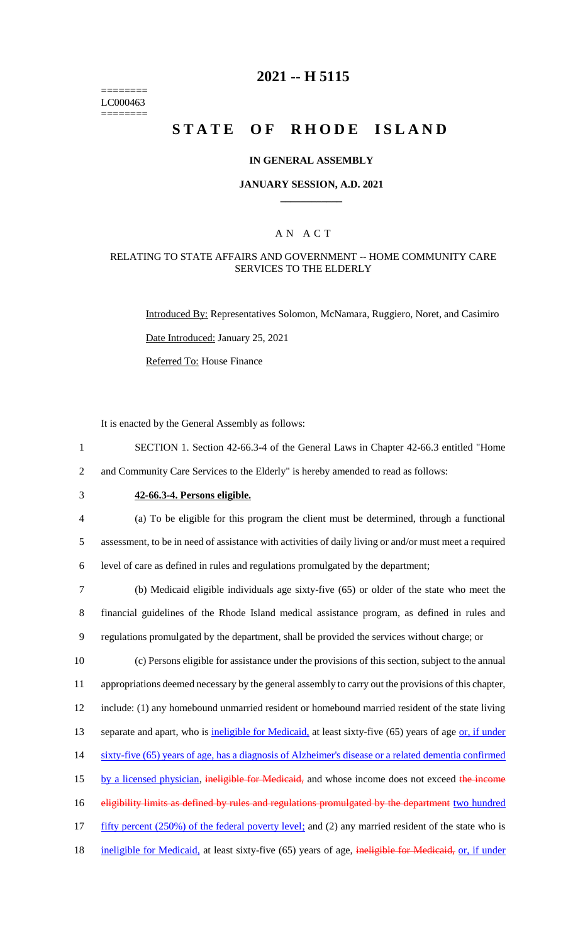======== LC000463 ========

# **2021 -- H 5115**

# **STATE OF RHODE ISLAND**

### **IN GENERAL ASSEMBLY**

#### **JANUARY SESSION, A.D. 2021 \_\_\_\_\_\_\_\_\_\_\_\_**

### A N A C T

### RELATING TO STATE AFFAIRS AND GOVERNMENT -- HOME COMMUNITY CARE SERVICES TO THE ELDERLY

Introduced By: Representatives Solomon, McNamara, Ruggiero, Noret, and Casimiro Date Introduced: January 25, 2021

Referred To: House Finance

It is enacted by the General Assembly as follows:

- 1 SECTION 1. Section 42-66.3-4 of the General Laws in Chapter 42-66.3 entitled "Home 2 and Community Care Services to the Elderly" is hereby amended to read as follows:
- 

# 3 **42-66.3-4. Persons eligible.**

4 (a) To be eligible for this program the client must be determined, through a functional 5 assessment, to be in need of assistance with activities of daily living or and/or must meet a required 6 level of care as defined in rules and regulations promulgated by the department;

7 (b) Medicaid eligible individuals age sixty-five (65) or older of the state who meet the 8 financial guidelines of the Rhode Island medical assistance program, as defined in rules and 9 regulations promulgated by the department, shall be provided the services without charge; or

10 (c) Persons eligible for assistance under the provisions of this section, subject to the annual 11 appropriations deemed necessary by the general assembly to carry out the provisions of this chapter, 12 include: (1) any homebound unmarried resident or homebound married resident of the state living 13 separate and apart, who is ineligible for Medicaid, at least sixty-five (65) years of age or, if under 14 sixty-five (65) years of age, has a diagnosis of Alzheimer's disease or a related dementia confirmed 15 by a licensed physician, ineligible for Medicaid, and whose income does not exceed the income 16 eligibility limits as defined by rules and regulations promulgated by the department two hundred 17 fifty percent (250%) of the federal poverty level; and (2) any married resident of the state who is 18 ineligible for Medicaid, at least sixty-five (65) years of age, ineligible for Medicaid, or, if under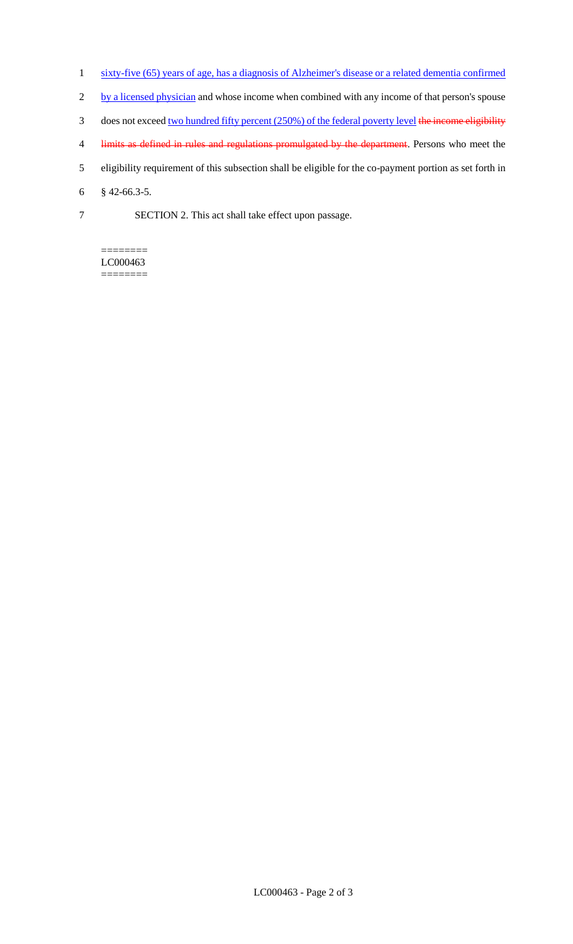- 1 sixty-five (65) years of age, has a diagnosis of Alzheimer's disease or a related dementia confirmed
- 2 by a licensed physician and whose income when combined with any income of that person's spouse
- 3 does not exceed two hundred fifty percent (250%) of the federal poverty level the income eligibility
- 4 limits as defined in rules and regulations promulgated by the department. Persons who meet the
- 5 eligibility requirement of this subsection shall be eligible for the co-payment portion as set forth in
- 6 § 42-66.3-5.
- 7 SECTION 2. This act shall take effect upon passage.

======== LC000463 ========